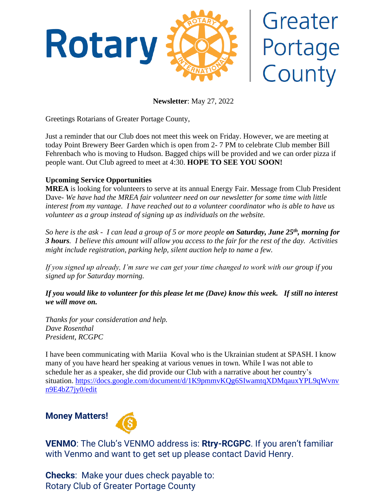

# Greater Portage County

**Newsletter**: May 27, 2022

Greetings Rotarians of Greater Portage County,

Just a reminder that our Club does not meet this week on Friday. However, we are meeting at today Point Brewery Beer Garden which is open from 2- 7 PM to celebrate Club member Bill Fehrenbach who is moving to Hudson. Bagged chips will be provided and we can order pizza if people want. Out Club agreed to meet at 4:30. **HOPE TO SEE YOU SOON!**

## **Upcoming Service Opportunities**

**MREA** is looking for volunteers to serve at its annual Energy Fair. Message from Club President Dave- *We have had the MREA fair volunteer need on our newsletter for some time with little interest from my vantage. I have reached out to a volunteer coordinator who is able to have us volunteer as a group instead of signing up as individuals on the website.* 

*So here is the ask - I can lead a group of 5 or more people on Saturday, June 25th, morning for 3 hours. I believe this amount will allow you access to the fair for the rest of the day. Activities might include registration, parking help, silent auction help to name a few.*

*If you signed up already, I'm sure we can get your time changed to work with our group if you signed up for Saturday morning.*

### *If you would like to volunteer for this please let me (Dave) know this week. If still no interest we will move on.*

*Thanks for your consideration and help. Dave Rosenthal President, RCGPC*

I have been communicating with Mariia Koval who is the Ukrainian student at SPASH. I know many of you have heard her speaking at various venues in town. While I was not able to schedule her as a speaker, she did provide our Club with a narrative about her country's situation. [https://docs.google.com/document/d/1K9pmmvKQg6SIwamtqXDMqauxYPL9qWvnv](https://docs.google.com/document/d/1K9pmmvKQg6SIwamtqXDMqauxYPL9qWvnvn9E4bZ7jy0/edit) [n9E4bZ7jy0/edit](https://docs.google.com/document/d/1K9pmmvKQg6SIwamtqXDMqauxYPL9qWvnvn9E4bZ7jy0/edit)

# **Money Matters!**



**VENMO**: The Club's VENMO address is: **Rtry-RCGPC**. If you aren't familiar with Venmo and want to get set up please contact David Henry.

**Checks**: Make your dues check payable to: Rotary Club of Greater Portage County